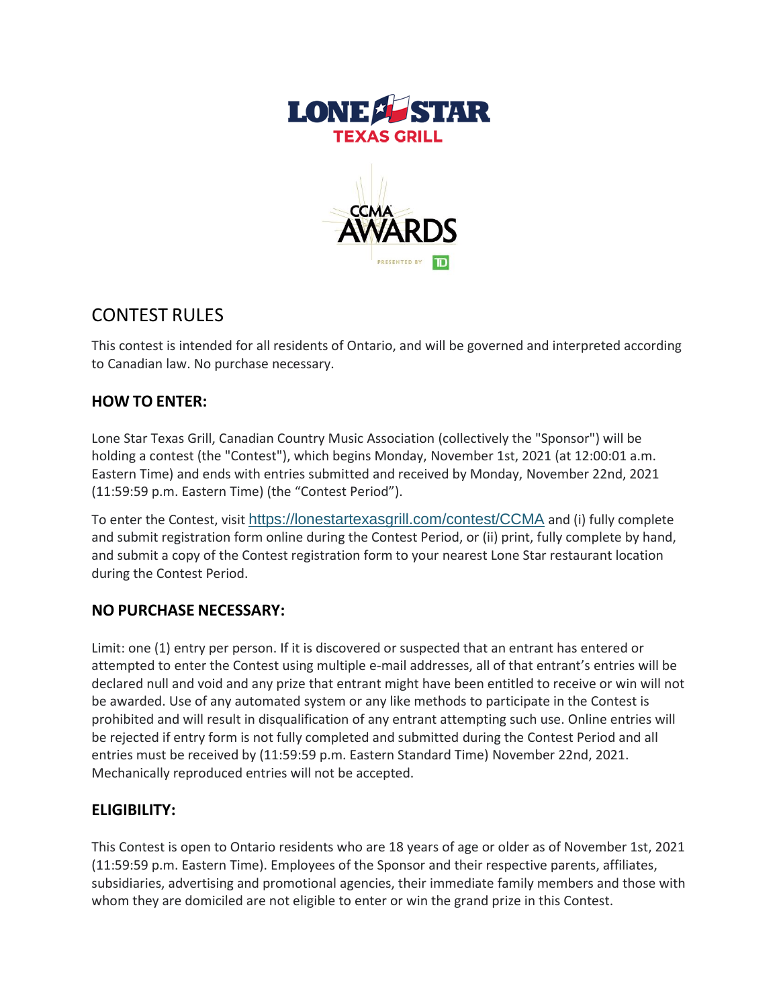



# CONTEST RULES

This contest is intended for all residents of Ontario, and will be governed and interpreted according to Canadian law. No purchase necessary.

## **HOW TO ENTER:**

Lone Star Texas Grill, Canadian Country Music Association (collectively the "Sponsor") will be holding a contest (the "Contest"), which begins Monday, November 1st, 2021 (at 12:00:01 a.m. Eastern Time) and ends with entries submitted and received by Monday, November 22nd, 2021 (11:59:59 p.m. Eastern Time) (the "Contest Period").

To enter the Contest, visit <https://lonestartexasgrill.com/contest/CCMA> and (i) fully complete and submit registration form online during the Contest Period, or (ii) print, fully complete by hand, and submit a copy of the Contest registration form to your nearest Lone Star restaurant location during the Contest Period.

### **NO PURCHASE NECESSARY:**

Limit: one (1) entry per person. If it is discovered or suspected that an entrant has entered or attempted to enter the Contest using multiple e-mail addresses, all of that entrant's entries will be declared null and void and any prize that entrant might have been entitled to receive or win will not be awarded. Use of any automated system or any like methods to participate in the Contest is prohibited and will result in disqualification of any entrant attempting such use. Online entries will be rejected if entry form is not fully completed and submitted during the Contest Period and all entries must be received by (11:59:59 p.m. Eastern Standard Time) November 22nd, 2021. Mechanically reproduced entries will not be accepted.

## **ELIGIBILITY:**

This Contest is open to Ontario residents who are 18 years of age or older as of November 1st, 2021 (11:59:59 p.m. Eastern Time). Employees of the Sponsor and their respective parents, affiliates, subsidiaries, advertising and promotional agencies, their immediate family members and those with whom they are domiciled are not eligible to enter or win the grand prize in this Contest.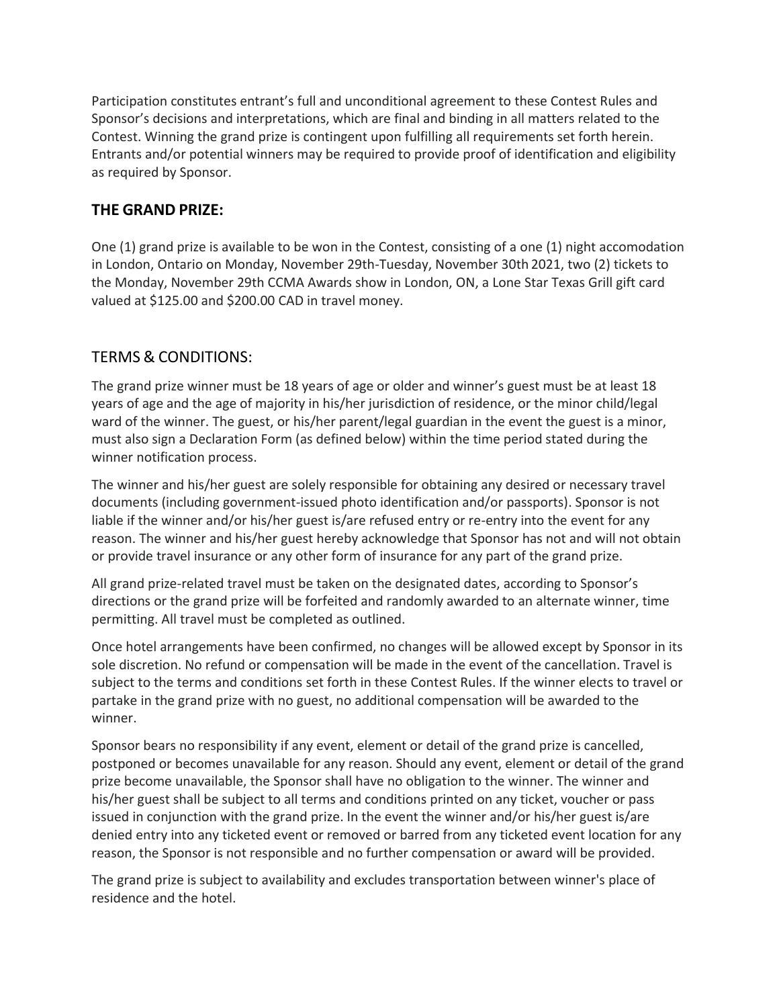Participation constitutes entrant's full and unconditional agreement to these Contest Rules and Sponsor's decisions and interpretations, which are final and binding in all matters related to the Contest. Winning the grand prize is contingent upon fulfilling all requirements set forth herein. Entrants and/or potential winners may be required to provide proof of identification and eligibility as required by Sponsor.

### **THE GRAND PRIZE:**

One (1) grand prize is available to be won in the Contest, consisting of a one (1) night accomodation in London, Ontario on Monday, November 29th-Tuesday, November 30th 2021, two (2) tickets to the Monday, November 29th CCMA Awards show in London, ON, a Lone Star Texas Grill gift card valued at \$125.00 and \$200.00 CAD in travel money.

### TERMS & CONDITIONS:

The grand prize winner must be 18 years of age or older and winner's guest must be at least 18 years of age and the age of majority in his/her jurisdiction of residence, or the minor child/legal ward of the winner. The guest, or his/her parent/legal guardian in the event the guest is a minor, must also sign a Declaration Form (as defined below) within the time period stated during the winner notification process.

The winner and his/her guest are solely responsible for obtaining any desired or necessary travel documents (including government-issued photo identification and/or passports). Sponsor is not liable if the winner and/or his/her guest is/are refused entry or re-entry into the event for any reason. The winner and his/her guest hereby acknowledge that Sponsor has not and will not obtain or provide travel insurance or any other form of insurance for any part of the grand prize.

All grand prize-related travel must be taken on the designated dates, according to Sponsor's directions or the grand prize will be forfeited and randomly awarded to an alternate winner, time permitting. All travel must be completed as outlined.

Once hotel arrangements have been confirmed, no changes will be allowed except by Sponsor in its sole discretion. No refund or compensation will be made in the event of the cancellation. Travel is subject to the terms and conditions set forth in these Contest Rules. If the winner elects to travel or partake in the grand prize with no guest, no additional compensation will be awarded to the winner.

Sponsor bears no responsibility if any event, element or detail of the grand prize is cancelled, postponed or becomes unavailable for any reason. Should any event, element or detail of the grand prize become unavailable, the Sponsor shall have no obligation to the winner. The winner and his/her guest shall be subject to all terms and conditions printed on any ticket, voucher or pass issued in conjunction with the grand prize. In the event the winner and/or his/her guest is/are denied entry into any ticketed event or removed or barred from any ticketed event location for any reason, the Sponsor is not responsible and no further compensation or award will be provided.

The grand prize is subject to availability and excludes transportation between winner's place of residence and the hotel.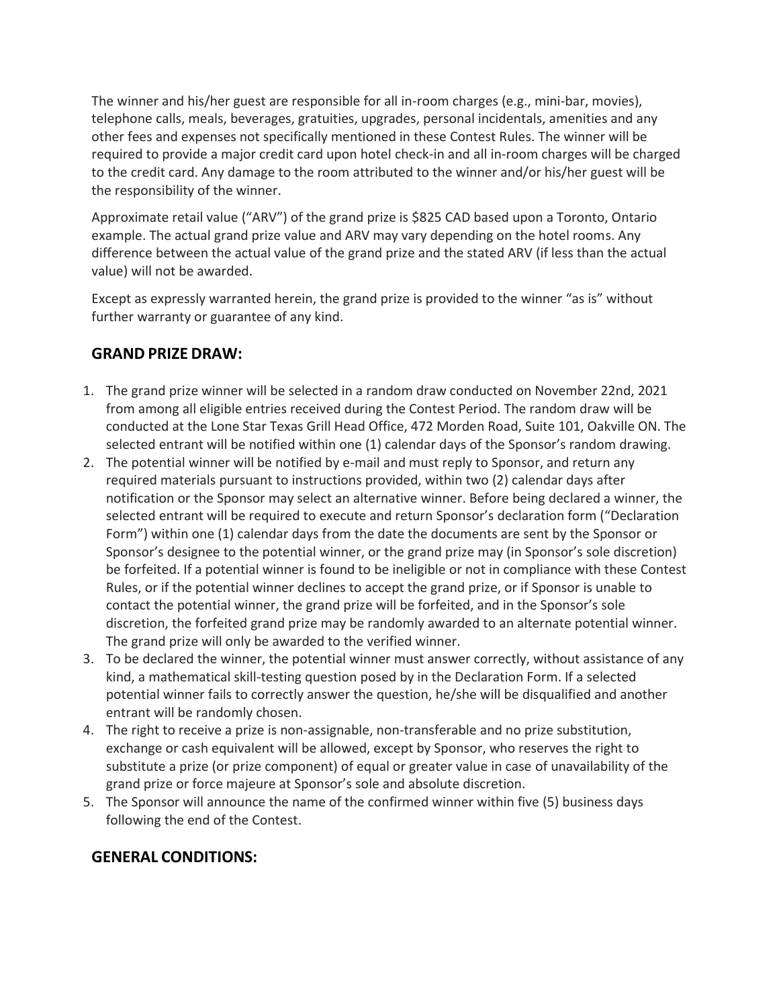The winner and his/her guest are responsible for all in-room charges (e.g., mini-bar, movies), telephone calls, meals, beverages, gratuities, upgrades, personal incidentals, amenities and any other fees and expenses not specifically mentioned in these Contest Rules. The winner will be required to provide a major credit card upon hotel check-in and all in-room charges will be charged to the credit card. Any damage to the room attributed to the winner and/or his/her guest will be the responsibility of the winner.

Approximate retail value ("ARV") of the grand prize is \$825 CAD based upon a Toronto, Ontario example. The actual grand prize value and ARV may vary depending on the hotel rooms. Any difference between the actual value of the grand prize and the stated ARV (if less than the actual value) will not be awarded.

Except as expressly warranted herein, the grand prize is provided to the winner "as is" without further warranty or guarantee of any kind.

### **GRAND PRIZE DRAW:**

- 1. The grand prize winner will be selected in a random draw conducted on November 22nd, 2021 from among all eligible entries received during the Contest Period. The random draw will be conducted at the Lone Star Texas Grill Head Office, 472 Morden Road, Suite 101, Oakville ON. The selected entrant will be notified within one (1) calendar days of the Sponsor's random drawing.
- 2. The potential winner will be notified by e-mail and must reply to Sponsor, and return any required materials pursuant to instructions provided, within two (2) calendar days after notification or the Sponsor may select an alternative winner. Before being declared a winner, the selected entrant will be required to execute and return Sponsor's declaration form ("Declaration Form") within one (1) calendar days from the date the documents are sent by the Sponsor or Sponsor's designee to the potential winner, or the grand prize may (in Sponsor's sole discretion) be forfeited. If a potential winner is found to be ineligible or not in compliance with these Contest Rules, or if the potential winner declines to accept the grand prize, or if Sponsor is unable to contact the potential winner, the grand prize will be forfeited, and in the Sponsor's sole discretion, the forfeited grand prize may be randomly awarded to an alternate potential winner. The grand prize will only be awarded to the verified winner.
- 3. To be declared the winner, the potential winner must answer correctly, without assistance of any kind, a mathematical skill-testing question posed by in the Declaration Form. If a selected potential winner fails to correctly answer the question, he/she will be disqualified and another entrant will be randomly chosen.
- 4. The right to receive a prize is non-assignable, non-transferable and no prize substitution, exchange or cash equivalent will be allowed, except by Sponsor, who reserves the right to substitute a prize (or prize component) of equal or greater value in case of unavailability of the grand prize or force majeure at Sponsor's sole and absolute discretion.
- 5. The Sponsor will announce the name of the confirmed winner within five (5) business days following the end of the Contest.

### **GENERAL CONDITIONS:**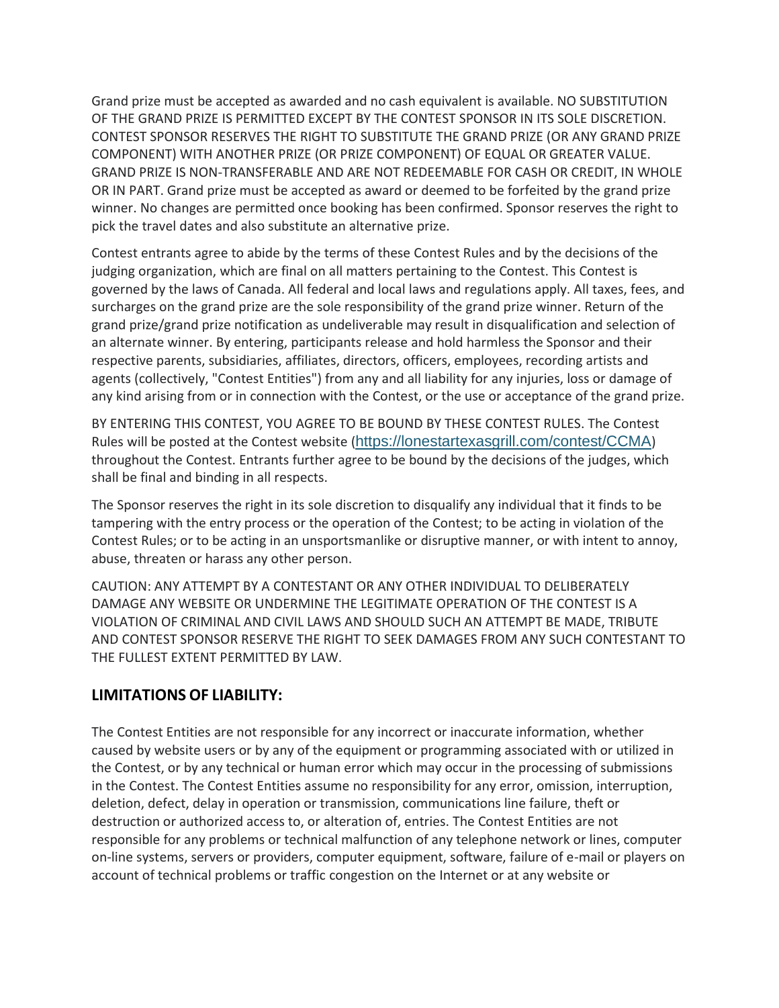Grand prize must be accepted as awarded and no cash equivalent is available. NO SUBSTITUTION OF THE GRAND PRIZE IS PERMITTED EXCEPT BY THE CONTEST SPONSOR IN ITS SOLE DISCRETION. CONTEST SPONSOR RESERVES THE RIGHT TO SUBSTITUTE THE GRAND PRIZE (OR ANY GRAND PRIZE COMPONENT) WITH ANOTHER PRIZE (OR PRIZE COMPONENT) OF EQUAL OR GREATER VALUE. GRAND PRIZE IS NON-TRANSFERABLE AND ARE NOT REDEEMABLE FOR CASH OR CREDIT, IN WHOLE OR IN PART. Grand prize must be accepted as award or deemed to be forfeited by the grand prize winner. No changes are permitted once booking has been confirmed. Sponsor reserves the right to pick the travel dates and also substitute an alternative prize.

Contest entrants agree to abide by the terms of these Contest Rules and by the decisions of the judging organization, which are final on all matters pertaining to the Contest. This Contest is governed by the laws of Canada. All federal and local laws and regulations apply. All taxes, fees, and surcharges on the grand prize are the sole responsibility of the grand prize winner. Return of the grand prize/grand prize notification as undeliverable may result in disqualification and selection of an alternate winner. By entering, participants release and hold harmless the Sponsor and their respective parents, subsidiaries, affiliates, directors, officers, employees, recording artists and agents (collectively, "Contest Entities") from any and all liability for any injuries, loss or damage of any kind arising from or in connection with the Contest, or the use or acceptance of the grand prize.

BY ENTERING THIS CONTEST, YOU AGREE TO BE BOUND BY THESE CONTEST RULES. The Contest Rules will be posted at the Contest website (<https://lonestartexasgrill.com/contest/CCMA>) throughout the Contest. Entrants further agree to be bound by the decisions of the judges, which shall be final and binding in all respects.

The Sponsor reserves the right in its sole discretion to disqualify any individual that it finds to be tampering with the entry process or the operation of the Contest; to be acting in violation of the Contest Rules; or to be acting in an unsportsmanlike or disruptive manner, or with intent to annoy, abuse, threaten or harass any other person.

CAUTION: ANY ATTEMPT BY A CONTESTANT OR ANY OTHER INDIVIDUAL TO DELIBERATELY DAMAGE ANY WEBSITE OR UNDERMINE THE LEGITIMATE OPERATION OF THE CONTEST IS A VIOLATION OF CRIMINAL AND CIVIL LAWS AND SHOULD SUCH AN ATTEMPT BE MADE, TRIBUTE AND CONTEST SPONSOR RESERVE THE RIGHT TO SEEK DAMAGES FROM ANY SUCH CONTESTANT TO THE FULLEST EXTENT PERMITTED BY LAW.

#### **LIMITATIONS OF LIABILITY:**

The Contest Entities are not responsible for any incorrect or inaccurate information, whether caused by website users or by any of the equipment or programming associated with or utilized in the Contest, or by any technical or human error which may occur in the processing of submissions in the Contest. The Contest Entities assume no responsibility for any error, omission, interruption, deletion, defect, delay in operation or transmission, communications line failure, theft or destruction or authorized access to, or alteration of, entries. The Contest Entities are not responsible for any problems or technical malfunction of any telephone network or lines, computer on-line systems, servers or providers, computer equipment, software, failure of e-mail or players on account of technical problems or traffic congestion on the Internet or at any website or